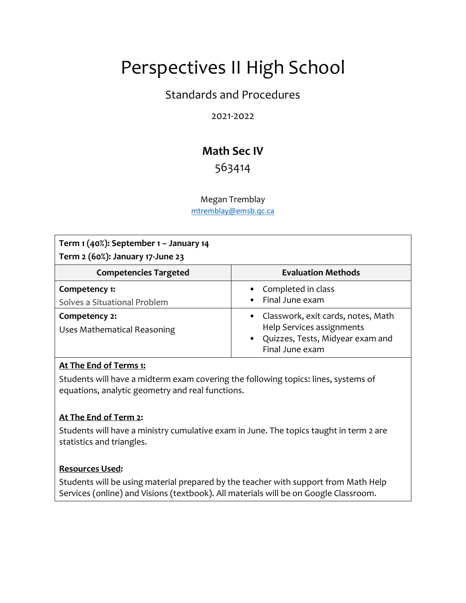# Perspectives II High School

# Standards and Procedures

### 2021-2022

# **Math Sec IV**

## 563414

## Megan Tremblay

[mtremblay@emsb.qc.ca](mailto:mtremblay@emsb.qc.ca)

| Term 1 (40%): September 1 - January 14<br>Term 2 (60%): January 17-June 23 |                                                                                                                            |
|----------------------------------------------------------------------------|----------------------------------------------------------------------------------------------------------------------------|
| <b>Competencies Targeted</b>                                               | <b>Evaluation Methods</b>                                                                                                  |
| Competency 1:<br>Solves a Situational Problem                              | Completed in class<br>$\bullet$<br>Final June exam<br>$\bullet$                                                            |
| Competency 2:<br>Uses Mathematical Reasoning                               | • Classwork, exit cards, notes, Math<br>Help Services assignments<br>• Quizzes, Tests, Midyear exam and<br>Final June exam |

### **At The End of Terms 1:**

Students will have a midterm exam covering the following topics: lines, systems of equations, analytic geometry and real functions.

## **At The End of Term 2:**

Students will have a ministry cumulative exam in June. The topics taught in term 2 are statistics and triangles.

## **Resources Used:**

Students will be using material prepared by the teacher with support from Math Help Services (online) and Visions (textbook). All materials will be on Google Classroom.